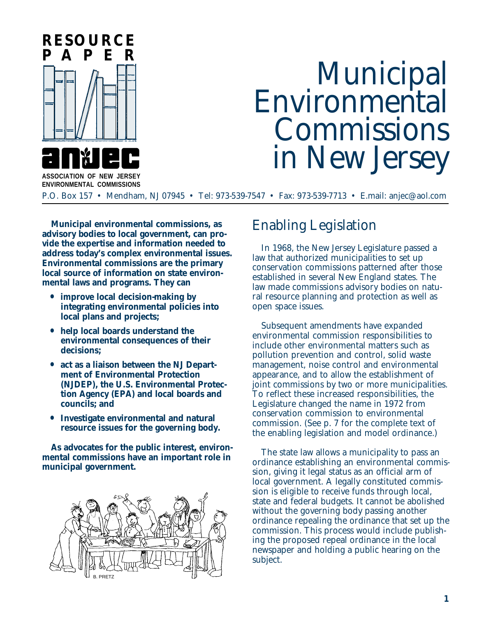

# Municipal<br>Environmental Commissions in New Jersey

**ASSOCIATION OF NEW JERSEY ENVIRONMENTAL COMMISSIONS**

P.O. Box 157 • Mendham, NJ 07945 • Tel: 973-539-7547 • Fax: 973-539-7713 • E.mail: anjec@aol.com

**Municipal environmental commissions, as advisory bodies to local government, can provide the expertise and information needed to address today's complex environmental issues. Environmental commissions are the primary local source of information on state environmental laws and programs. They can**

- **• improve local decision-making by integrating environmental policies into local plans and projects;**
- **• help local boards understand the environmental consequences of their decisions;**
- **• act as a liaison between the NJ Department of Environmental Protection (NJDEP), the U.S. Environmental Protection Agency (EPA) and local boards and councils; and**
- **• Investigate environmental and natural resource issues for the governing body.**

**As advocates for the public interest, environmental commissions have an important role in municipal government.**



## Enabling Legislation

In 1968, the New Jersey Legislature passed a law that authorized municipalities to set up conservation commissions patterned after those established in several New England states. The law made commissions advisory bodies on natural resource planning and protection as well as open space issues.

Subsequent amendments have expanded environmental commission responsibilities to include other environmental matters such as pollution prevention and control, solid waste management, noise control and environmental appearance, and to allow the establishment of joint commissions by two or more municipalities. To reflect these increased responsibilities, the Legislature changed the name in 1972 from conservation commission to environmental commission. (See p. 7 for the complete text of the enabling legislation and model ordinance.)

The state law allows a municipality to pass an ordinance establishing an environmental commission, giving it legal status as an official arm of local government. A legally constituted commission is eligible to receive funds through local, state and federal budgets. It cannot be abolished without the governing body passing another ordinance repealing the ordinance that set up the commission. This process would include publishing the proposed repeal ordinance in the local newspaper and holding a public hearing on the subject.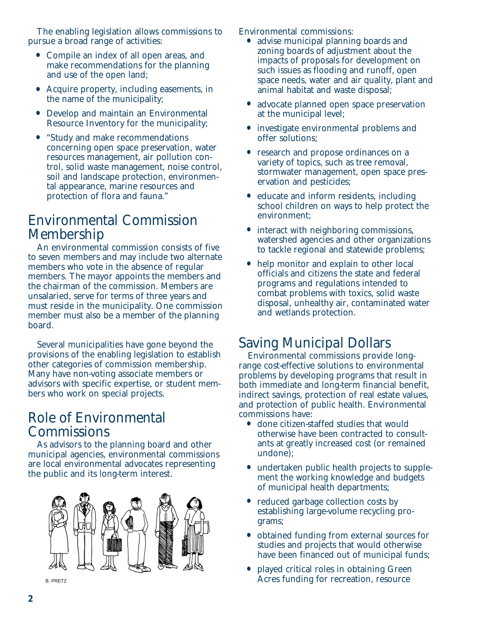The enabling legislation allows commissions to pursue a broad range of activities:

- **•** Compile an index of all open areas, and make recommendations for the planning and use of the open land;
- **•** Acquire property, including easements, in the name of the municipality;
- **•** Develop and maintain an Environmental Resource Inventory for the municipality;
- **•** "Study and make recommendations concerning open space preservation, water resources management, air pollution control, solid waste management, noise control, soil and landscape protection, environmental appearance, marine resources and protection of flora and fauna."

## Environmental Commission Membership

An environmental commission consists of five to seven members and may include two alternate members who vote in the absence of regular members. The mayor appoints the members and the chairman of the commission. Members are unsalaried, serve for terms of three years and must reside in the municipality. One commission member must also be a member of the planning board.

Several municipalities have gone beyond the provisions of the enabling legislation to establish other categories of commission membership. Many have non-voting associate members or advisors with specific expertise, or student members who work on special projects.

## Role of Environmental **Commissions**

As advisors to the planning board and other municipal agencies, environmental commissions are local environmental advocates representing the public and its long-term interest.



Environmental commissions:

- **•** advise municipal planning boards and zoning boards of adjustment about the impacts of proposals for development on such issues as flooding and runoff, open space needs, water and air quality, plant and animal habitat and waste disposal;
- **•** advocate planned open space preservation at the municipal level;
- **•** investigate environmental problems and offer solutions;
- **•** research and propose ordinances on a variety of topics, such as tree removal, stormwater management, open space preservation and pesticides;
- **•** educate and inform residents, including school children on ways to help protect the environment;
- **•** interact with neighboring commissions, watershed agencies and other organizations to tackle regional and statewide problems;
- help monitor and explain to other local officials and citizens the state and federal programs and regulations intended to combat problems with toxics, solid waste disposal, unhealthy air, contaminated water and wetlands protection.

## Saving Municipal Dollars

Environmental commissions provide longrange cost-effective solutions to environmental problems by developing programs that result in both immediate and long-term financial benefit, indirect savings, protection of real estate values, and protection of public health. Environmental commissions have:

- **•** done citizen-staffed studies that would otherwise have been contracted to consultants at greatly increased cost (or remained undone);
- undertaken public health projects to supplement the working knowledge and budgets of municipal health departments;
- reduced garbage collection costs by establishing large-volume recycling programs;
- **•** obtained funding from external sources for studies and projects that would otherwise have been financed out of municipal funds;
- **•** played critical roles in obtaining Green B. PRETZ BACRES FUNDER FOR THE RECREATION ACTES **funding for recreation, resource**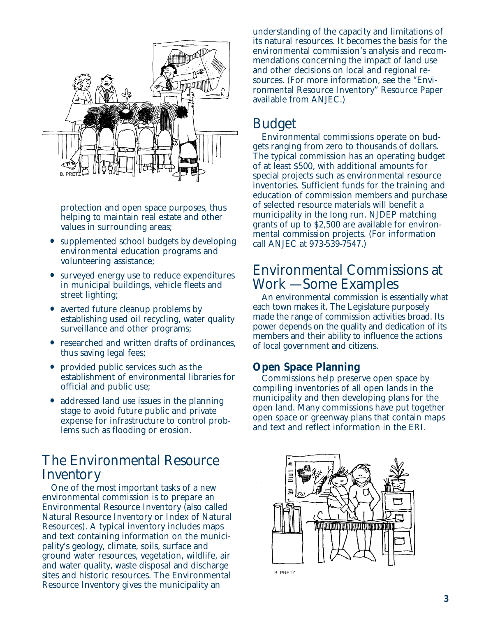

protection and open space purposes, thus helping to maintain real estate and other values in surrounding areas;

- **•** supplemented school budgets by developing environmental education programs and volunteering assistance;
- **•** surveyed energy use to reduce expenditures in municipal buildings, vehicle fleets and street lighting;
- **•** averted future cleanup problems by establishing used oil recycling, water quality surveillance and other programs;
- **•** researched and written drafts of ordinances, thus saving legal fees;
- **•** provided public services such as the establishment of environmental libraries for official and public use;
- **•** addressed land use issues in the planning stage to avoid future public and private expense for infrastructure to control problems such as flooding or erosion.

### The Environmental Resource **Inventory**

One of the most important tasks of a new environmental commission is to prepare an Environmental Resource Inventory (also called Natural Resource Inventory or Index of Natural Resources). A typical inventory includes maps and text containing information on the municipality's geology, climate, soils, surface and ground water resources, vegetation, wildlife, air and water quality, waste disposal and discharge sites and historic resources. The Environmental Resource Inventory gives the municipality an

understanding of the capacity and limitations of its natural resources. It becomes the basis for the environmental commission's analysis and recommendations concerning the impact of land use and other decisions on local and regional resources. (For more information, see the "Environmental Resource Inventory" Resource Paper available from ANJEC.)

## Budget

Environmental commissions operate on budgets ranging from zero to thousands of dollars. The typical commission has an operating budget of at least \$500, with additional amounts for special projects such as environmental resource inventories. Sufficient funds for the training and education of commission members and purchase of selected resource materials will benefit a municipality in the long run. NJDEP matching grants of up to \$2,500 are available for environmental commission projects. (For information call ANJEC at 973-539-7547.)

## Environmental Commissions at Work — Some Examples

An environmental commission is essentially what each town makes it. The Legislature purposely made the range of commission activities broad. Its power depends on the quality and dedication of its members and their ability to influence the actions of local government and citizens.

#### **Open Space Planning**

Commissions help preserve open space by compiling inventories of all open lands in the municipality and then developing plans for the open land. Many commissions have put together open space or greenway plans that contain maps and text and reflect information in the ERI.



B. PRETZ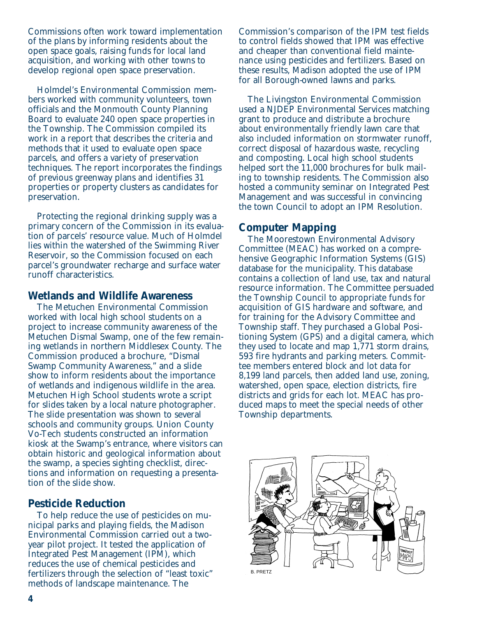Commissions often work toward implementation of the plans by informing residents about the open space goals, raising funds for local land acquisition, and working with other towns to develop regional open space preservation.

Holmdel's Environmental Commission members worked with community volunteers, town officials and the Monmouth County Planning Board to evaluate 240 open space properties in the Township. The Commission compiled its work in a report that describes the criteria and methods that it used to evaluate open space parcels, and offers a variety of preservation techniques. The report incorporates the findings of previous greenway plans and identifies 31 properties or property clusters as candidates for preservation.

Protecting the regional drinking supply was a primary concern of the Commission in its evaluation of parcels' resource value. Much of Holmdel lies within the watershed of the Swimming River Reservoir, so the Commission focused on each parcel's groundwater recharge and surface water runoff characteristics.

#### **Wetlands and Wildlife Awareness**

The Metuchen Environmental Commission worked with local high school students on a project to increase community awareness of the Metuchen Dismal Swamp, one of the few remaining wetlands in northern Middlesex County. The Commission produced a brochure, "Dismal Swamp Community Awareness," and a slide show to inform residents about the importance of wetlands and indigenous wildlife in the area. Metuchen High School students wrote a script for slides taken by a local nature photographer. The slide presentation was shown to several schools and community groups. Union County Vo-Tech students constructed an information kiosk at the Swamp's entrance, where visitors can obtain historic and geological information about the swamp, a species sighting checklist, directions and information on requesting a presentation of the slide show.

#### **Pesticide Reduction**

To help reduce the use of pesticides on municipal parks and playing fields, the Madison Environmental Commission carried out a twoyear pilot project. It tested the application of Integrated Pest Management (IPM), which reduces the use of chemical pesticides and fertilizers through the selection of "least toxic" methods of landscape maintenance. The

Commission's comparison of the IPM test fields to control fields showed that IPM was effective and cheaper than conventional field maintenance using pesticides and fertilizers. Based on these results, Madison adopted the use of IPM for all Borough-owned lawns and parks.

The Livingston Environmental Commission used a NJDEP Environmental Services matching grant to produce and distribute a brochure about environmentally friendly lawn care that also included information on stormwater runoff, correct disposal of hazardous waste, recycling and composting. Local high school students helped sort the 11,000 brochures for bulk mailing to township residents. The Commission also hosted a community seminar on Integrated Pest Management and was successful in convincing the town Council to adopt an IPM Resolution.

#### **Computer Mapping**

The Moorestown Environmental Advisory Committee (MEAC) has worked on a comprehensive Geographic Information Systems (GIS) database for the municipality. This database contains a collection of land use, tax and natural resource information. The Committee persuaded the Township Council to appropriate funds for acquisition of GIS hardware and software, and for training for the Advisory Committee and Township staff. They purchased a Global Positioning System (GPS) and a digital camera, which they used to locate and map 1,771 storm drains, 593 fire hydrants and parking meters. Committee members entered block and lot data for 8,199 land parcels, then added land use, zoning, watershed, open space, election districts, fire districts and grids for each lot. MEAC has produced maps to meet the special needs of other Township departments.

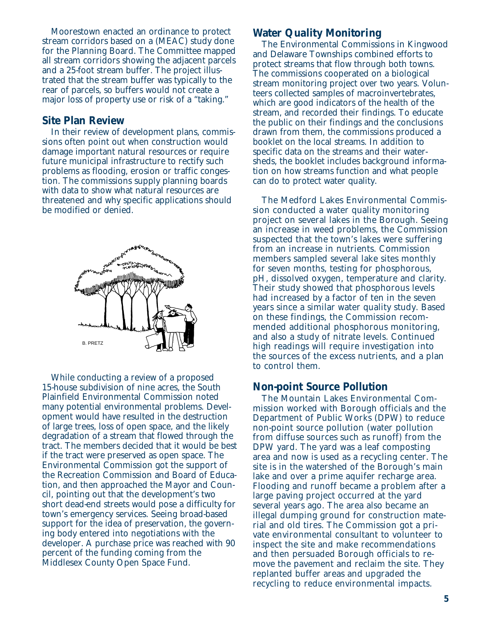Moorestown enacted an ordinance to protect stream corridors based on a (MEAC) study done for the Planning Board. The Committee mapped all stream corridors showing the adjacent parcels and a 25-foot stream buffer. The project illustrated that the stream buffer was typically to the rear of parcels, so buffers would not create a major loss of property use or risk of a "taking."

#### **Site Plan Review**

In their review of development plans, commissions often point out when construction would damage important natural resources or require future municipal infrastructure to rectify such problems as flooding, erosion or traffic congestion. The commissions supply planning boards with data to show what natural resources are threatened and why specific applications should be modified or denied.



While conducting a review of a proposed 15-house subdivision of nine acres, the South Plainfield Environmental Commission noted many potential environmental problems. Development would have resulted in the destruction of large trees, loss of open space, and the likely degradation of a stream that flowed through the tract. The members decided that it would be best if the tract were preserved as open space. The Environmental Commission got the support of the Recreation Commission and Board of Education, and then approached the Mayor and Council, pointing out that the development's two short dead-end streets would pose a difficulty for town's emergency services. Seeing broad-based support for the idea of preservation, the governing body entered into negotiations with the developer. A purchase price was reached with 90 percent of the funding coming from the Middlesex County Open Space Fund.

#### **Water Quality Monitoring**

The Environmental Commissions in Kingwood and Delaware Townships combined efforts to protect streams that flow through both towns. The commissions cooperated on a biological stream monitoring project over two years. Volunteers collected samples of macroinvertebrates, which are good indicators of the health of the stream, and recorded their findings. To educate the public on their findings and the conclusions drawn from them, the commissions produced a booklet on the local streams. In addition to specific data on the streams and their watersheds, the booklet includes background information on how streams function and what people can do to protect water quality.

The Medford Lakes Environmental Commission conducted a water quality monitoring project on several lakes in the Borough. Seeing an increase in weed problems, the Commission suspected that the town's lakes were suffering from an increase in nutrients. Commission members sampled several lake sites monthly for seven months, testing for phosphorous, pH, dissolved oxygen, temperature and clarity. Their study showed that phosphorous levels had increased by a factor of ten in the seven years since a similar water quality study. Based on these findings, the Commission recommended additional phosphorous monitoring, and also a study of nitrate levels. Continued high readings will require investigation into the sources of the excess nutrients, and a plan to control them.

#### **Non-point Source Pollution**

The Mountain Lakes Environmental Commission worked with Borough officials and the Department of Public Works (DPW) to reduce non-point source pollution (water pollution from diffuse sources such as runoff) from the DPW yard. The yard was a leaf composting area and now is used as a recycling center. The site is in the watershed of the Borough's main lake and over a prime aquifer recharge area. Flooding and runoff became a problem after a large paving project occurred at the yard several years ago. The area also became an illegal dumping ground for construction material and old tires. The Commission got a private environmental consultant to volunteer to inspect the site and make recommendations and then persuaded Borough officials to remove the pavement and reclaim the site. They replanted buffer areas and upgraded the recycling to reduce environmental impacts.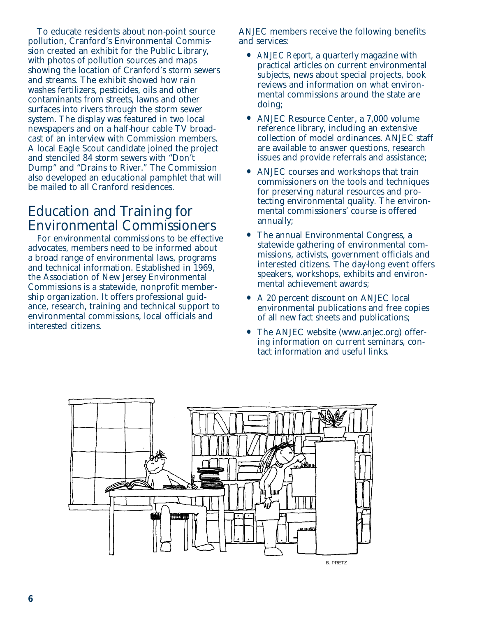To educate residents about non-point source pollution, Cranford's Environmental Commission created an exhibit for the Public Library, with photos of pollution sources and maps showing the location of Cranford's storm sewers and streams. The exhibit showed how rain washes fertilizers, pesticides, oils and other contaminants from streets, lawns and other surfaces into rivers through the storm sewer system. The display was featured in two local newspapers and on a half-hour cable TV broadcast of an interview with Commission members. A local Eagle Scout candidate joined the project and stenciled 84 storm sewers with "Don't Dump" and "Drains to River." The Commission also developed an educational pamphlet that will be mailed to all Cranford residences.

## Education and Training for Environmental Commissioners

For environmental commissions to be effective advocates, members need to be informed about a broad range of environmental laws, programs and technical information. Established in 1969, the Association of New Jersey Environmental Commissions is a statewide, nonprofit membership organization. It offers professional guidance, research, training and technical support to environmental commissions, local officials and interested citizens.

ANJEC members receive the following benefits and services:

- **•** *ANJEC Report*, a quarterly magazine with practical articles on current environmental subjects, news about special projects, book reviews and information on what environmental commissions around the state are doing;
- **•** ANJEC Resource Center, a 7,000 volume reference library, including an extensive collection of model ordinances. ANJEC staff are available to answer questions, research issues and provide referrals and assistance;
- **•** ANJEC courses and workshops that train commissioners on the tools and techniques for preserving natural resources and protecting environmental quality. The environmental commissioners' course is offered annually;
- **•** The annual Environmental Congress, a statewide gathering of environmental commissions, activists, government officials and interested citizens. The day-long event offers speakers, workshops, exhibits and environmental achievement awards;
- **•** A 20 percent discount on ANJEC local environmental publications and free copies of all new fact sheets and publications;
- **•** The ANJEC website (www.anjec.org) offering information on current seminars, contact information and useful links.

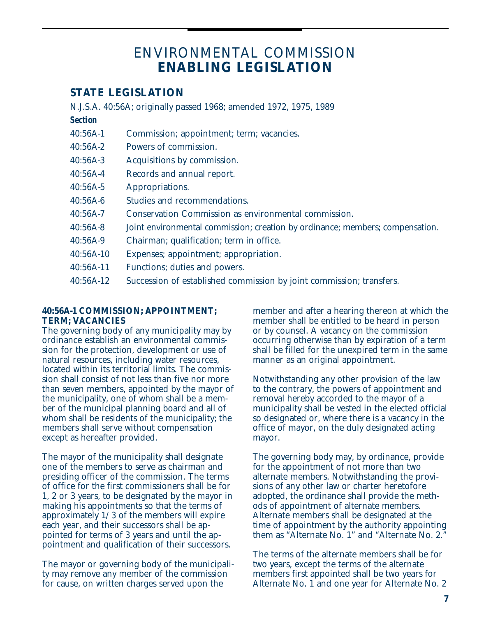## ENVIRONMENTAL COMMISSION **ENABLING LEGISLATION**

#### **STATE LEGISLATION**

| N.J.S.A. 40:56A; originally passed 1968; amended 1972, 1975, 1989 |                                                                               |
|-------------------------------------------------------------------|-------------------------------------------------------------------------------|
| <b>Section</b>                                                    |                                                                               |
| 40:56A-1                                                          | Commission; appointment; term; vacancies.                                     |
| 40:56A-2                                                          | Powers of commission.                                                         |
| 40:56A-3                                                          | <b>Acquisitions by commission.</b>                                            |
| 40:56A-4                                                          | Records and annual report.                                                    |
| 40:56A-5                                                          | <b>Appropriations.</b>                                                        |
| 40:56A-6                                                          | <b>Studies and recommendations.</b>                                           |
| 40:56A-7                                                          | <b>Conservation Commission as environmental commission.</b>                   |
| 40:56A-8                                                          | Joint environmental commission; creation by ordinance; members; compensation. |
| 40:56A-9                                                          | Chairman; qualification; term in office.                                      |
| 40:56A-10                                                         | Expenses; appointment; appropriation.                                         |
| 40:56A-11                                                         | <b>Functions; duties and powers.</b>                                          |
| 40:56A-12                                                         | Succession of established commission by joint commission; transfers.          |
|                                                                   |                                                                               |

#### **40:56A-1 COMMISSION; APPOINTMENT; TERM; VACANCIES**

The governing body of any municipality may by ordinance establish an environmental commission for the protection, development or use of natural resources, including water resources, located within its territorial limits. The commission shall consist of not less than five nor more than seven members, appointed by the mayor of the municipality, one of whom shall be a member of the municipal planning board and all of whom shall be residents of the municipality; the members shall serve without compensation except as hereafter provided.

The mayor of the municipality shall designate one of the members to serve as chairman and presiding officer of the commission. The terms of office for the first commissioners shall be for 1, 2 or 3 years, to be designated by the mayor in making his appointments so that the terms of approximately 1/3 of the members will expire each year, and their successors shall be appointed for terms of 3 years and until the appointment and qualification of their successors.

The mayor or governing body of the municipality may remove any member of the commission for cause, on written charges served upon the

member and after a hearing thereon at which the member shall be entitled to be heard in person or by counsel. A vacancy on the commission occurring otherwise than by expiration of a term shall be filled for the unexpired term in the same manner as an original appointment.

Notwithstanding any other provision of the law to the contrary, the powers of appointment and removal hereby accorded to the mayor of a municipality shall be vested in the elected official so designated or, where there is a vacancy in the office of mayor, on the duly designated acting mayor.

The governing body may, by ordinance, provide for the appointment of not more than two alternate members. Notwithstanding the provisions of any other law or charter heretofore adopted, the ordinance shall provide the methods of appointment of alternate members. Alternate members shall be designated at the time of appointment by the authority appointing them as "Alternate No. 1" and "Alternate No. 2."

The terms of the alternate members shall be for two years, except the terms of the alternate members first appointed shall be two years for Alternate No. 1 and one year for Alternate No. 2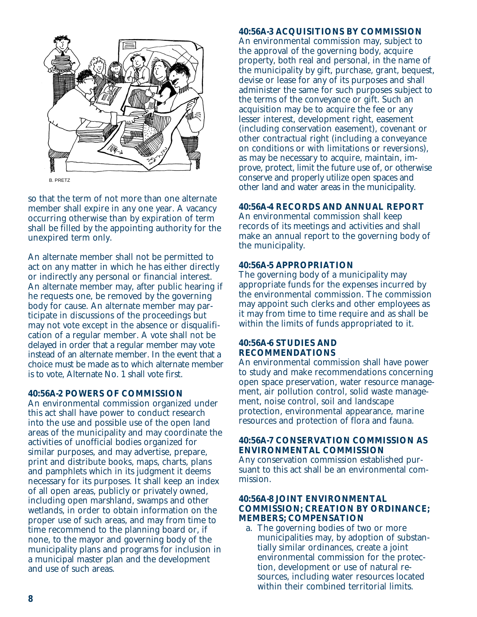

so that the term of not more than one alternate member shall expire in any one year. A vacancy occurring otherwise than by expiration of term shall be filled by the appointing authority for the unexpired term only.

An alternate member shall not be permitted to act on any matter in which he has either directly or indirectly any personal or financial interest. An alternate member may, after public hearing if he requests one, be removed by the governing body for cause. An alternate member may participate in discussions of the proceedings but may not vote except in the absence or disqualification of a regular member. A vote shall not be delayed in order that a regular member may vote instead of an alternate member. In the event that a choice must be made as to which alternate member is to vote, Alternate No. 1 shall vote first.

#### **40:56A-2 POWERS OF COMMISSION**

An environmental commission organized under this act shall have power to conduct research into the use and possible use of the open land areas of the municipality and may coordinate the activities of unofficial bodies organized for similar purposes, and may advertise, prepare, print and distribute books, maps, charts, plans and pamphlets which in its judgment it deems necessary for its purposes. It shall keep an index of all open areas, publicly or privately owned, including open marshland, swamps and other wetlands, in order to obtain information on the proper use of such areas, and may from time to time recommend to the planning board or, if none, to the mayor and governing body of the municipality plans and programs for inclusion in a municipal master plan and the development and use of such areas.

#### **40:56A-3 ACQUISITIONS BY COMMISSION**

An environmental commission may, subject to the approval of the governing body, acquire property, both real and personal, in the name of the municipality by gift, purchase, grant, bequest, devise or lease for any of its purposes and shall administer the same for such purposes subject to the terms of the conveyance or gift. Such an acquisition may be to acquire the fee or any lesser interest, development right, easement (including conservation easement), covenant or other contractual right (including a conveyance on conditions or with limitations or reversions), as may be necessary to acquire, maintain, improve, protect, limit the future use of, or otherwise conserve and properly utilize open spaces and other land and water areas in the municipality.

#### **40:56A-4 RECORDS AND ANNUAL REPORT**

An environmental commission shall keep records of its meetings and activities and shall make an annual report to the governing body of the municipality.

#### **40:56A-5 APPROPRIATION**

The governing body of a municipality may appropriate funds for the expenses incurred by the environmental commission. The commission may appoint such clerks and other employees as it may from time to time require and as shall be within the limits of funds appropriated to it.

#### **40:56A-6 STUDIES AND RECOMMENDATIONS**

An environmental commission shall have power to study and make recommendations concerning open space preservation, water resource management, air pollution control, solid waste management, noise control, soil and landscape protection, environmental appearance, marine resources and protection of flora and fauna.

#### **40:56A-7 CONSERVATION COMMISSION AS ENVIRONMENTAL COMMISSION** Any conservation commission established pursuant to this act shall be an environmental commission.

#### **40:56A-8 JOINT ENVIRONMENTAL COMMISSION; CREATION BY ORDINANCE; MEMBERS; COMPENSATION**

a. The governing bodies of two or more municipalities may, by adoption of substantially similar ordinances, create a joint environmental commission for the protection, development or use of natural resources, including water resources located within their combined territorial limits.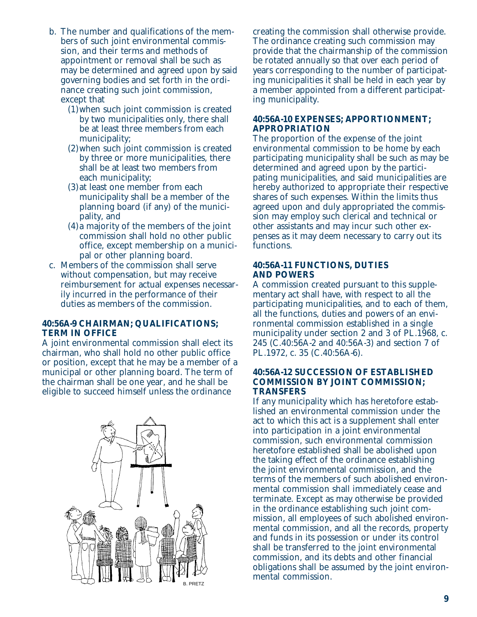- b. The number and qualifications of the members of such joint environmental commission, and their terms and methods of appointment or removal shall be such as may be determined and agreed upon by said governing bodies and set forth in the ordinance creating such joint commission, except that
	- (1)when such joint commission is created by two municipalities only, there shall be at least three members from each municipality;
	- (2)when such joint commission is created by three or more municipalities, there shall be at least two members from each municipality;
	- (3)at least one member from each municipality shall be a member of the planning board (if any) of the municipality, and
	- (4)a majority of the members of the joint commission shall hold no other public office, except membership on a municipal or other planning board.
- c. Members of the commission shall serve without compensation, but may receive reimbursement for actual expenses necessarily incurred in the performance of their duties as members of the commission.

#### **40:56A-9 CHAIRMAN; QUALIFICATIONS; TERM IN OFFICE**

A joint environmental commission shall elect its chairman, who shall hold no other public office or position, except that he may be a member of a municipal or other planning board. The term of the chairman shall be one year, and he shall be eligible to succeed himself unless the ordinance



creating the commission shall otherwise provide. The ordinance creating such commission may provide that the chairmanship of the commission be rotated annually so that over each period of years corresponding to the number of participating municipalities it shall be held in each year by a member appointed from a different participating municipality.

#### **40:56A-10 EXPENSES; APPORTIONMENT; APPROPRIATION**

The proportion of the expense of the joint environmental commission to be home by each participating municipality shall be such as may be determined and agreed upon by the participating municipalities, and said municipalities are hereby authorized to appropriate their respective shares of such expenses. Within the limits thus agreed upon and duly appropriated the commission may employ such clerical and technical or other assistants and may incur such other expenses as it may deem necessary to carry out its functions.

#### **40:56A-11 FUNCTIONS, DUTIES AND POWERS**

A commission created pursuant to this supplementary act shall have, with respect to all the participating municipalities, and to each of them, all the functions, duties and powers of an environmental commission established in a single municipality under section 2 and 3 of PL.1968, c. 245 (C.40:56A-2 and 40:56A-3) and section 7 of PL.1972, c. 35 (C.40:56A-6).

#### **40:56A-12 SUCCESSION OF ESTABLISHED COMMISSION BY JOINT COMMISSION; TRANSFERS**

If any municipality which has heretofore established an environmental commission under the act to which this act is a supplement shall enter into participation in a joint environmental commission, such environmental commission heretofore established shall be abolished upon the taking effect of the ordinance establishing the joint environmental commission, and the terms of the members of such abolished environmental commission shall immediately cease and terminate. Except as may otherwise be provided in the ordinance establishing such joint commission, all employees of such abolished environmental commission, and all the records, property and funds in its possession or under its control shall be transferred to the joint environmental commission, and its debts and other financial obligations shall be assumed by the joint environmental commission.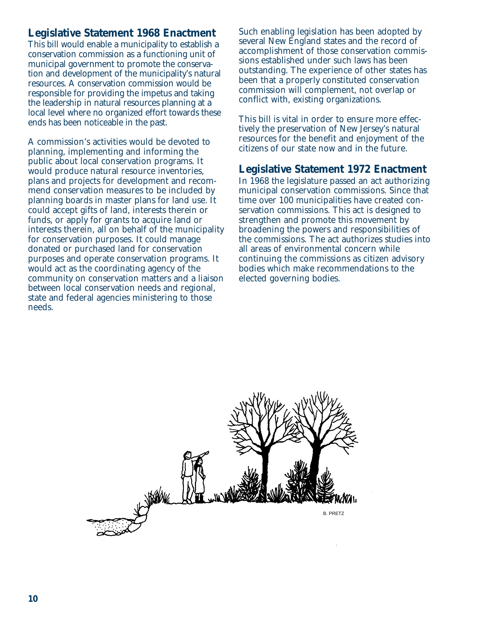#### **Legislative Statement 1968 Enactment**

This bill would enable a municipality to establish a conservation commission as a functioning unit of municipal government to promote the conservation and development of the municipality's natural resources. A conservation commission would be responsible for providing the impetus and taking the leadership in natural resources planning at a local level where no organized effort towards these ends has been noticeable in the past.

A commission's activities would be devoted to planning, implementing and informing the public about local conservation programs. It would produce natural resource inventories, plans and projects for development and recommend conservation measures to be included by planning boards in master plans for land use. It could accept gifts of land, interests therein or funds, or apply for grants to acquire land or interests therein, all on behalf of the municipality for conservation purposes. It could manage donated or purchased land for conservation purposes and operate conservation programs. It would act as the coordinating agency of the community on conservation matters and a liaison between local conservation needs and regional, state and federal agencies ministering to those needs.

Such enabling legislation has been adopted by several New England states and the record of accomplishment of those conservation commissions established under such laws has been outstanding. The experience of other states has been that a properly constituted conservation commission will complement, not overlap or conflict with, existing organizations.

This bill is vital in order to ensure more effectively the preservation of New Jersey's natural resources for the benefit and enjoyment of the citizens of our state now and in the future.

#### **Legislative Statement 1972 Enactment**

In 1968 the legislature passed an act authorizing municipal conservation commissions. Since that time over 100 municipalities have created conservation commissions. This act is designed to strengthen and promote this movement by broadening the powers and responsibilities of the commissions. The act authorizes studies into all areas of environmental concern while continuing the commissions as citizen advisory bodies which make recommendations to the elected governing bodies.

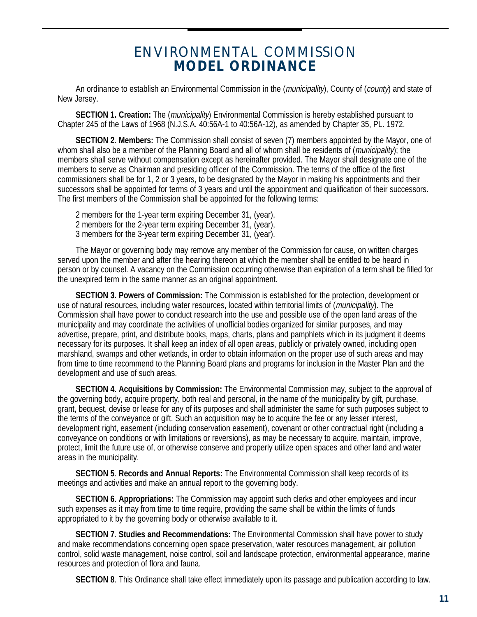## ENVIRONMENTAL COMMISSION **MODEL ORDINANCE**

An ordinance to establish an Environmental Commission in the (municipality), County of (county) and state of New Jersey.

**SECTION 1. Creation:** The (municipality) Environmental Commission is hereby established pursuant to Chapter 245 of the Laws of 1968 (N.J.S.A. 40:56A-1 to 40:56A-12), as amended by Chapter 35, PL. 1972.

**SECTION 2**. **Members:** The Commission shall consist of seven (7) members appointed by the Mayor, one of whom shall also be a member of the Planning Board and all of whom shall be residents of (municipality); the members shall serve without compensation except as hereinafter provided. The Mayor shall designate one of the members to serve as Chairman and presiding officer of the Commission. The terms of the office of the first commissioners shall be for 1, 2 or 3 years, to be designated by the Mayor in making his appointments and their successors shall be appointed for terms of 3 years and until the appointment and qualification of their successors. The first members of the Commission shall be appointed for the following terms:

2 members for the 1-year term expiring December 31, (year), 2 members for the 2-year term expiring December 31, (year), 3 members for the 3-year term expiring December 31, (year).

The Mayor or governing body may remove any member of the Commission for cause, on written charges served upon the member and after the hearing thereon at which the member shall be entitled to be heard in person or by counsel. A vacancy on the Commission occurring otherwise than expiration of a term shall be filled for the unexpired term in the same manner as an original appointment.

**SECTION 3. Powers of Commission:** The Commission is established for the protection, development or use of natural resources, including water resources, located within territorial limits of (*municipality*). The Commission shall have power to conduct research into the use and possible use of the open land areas of the municipality and may coordinate the activities of unofficial bodies organized for similar purposes, and may advertise, prepare, print, and distribute books, maps, charts, plans and pamphlets which in its judgment it deems necessary for its purposes. It shall keep an index of all open areas, publicly or privately owned, including open marshland, swamps and other wetlands, in order to obtain information on the proper use of such areas and may from time to time recommend to the Planning Board plans and programs for inclusion in the Master Plan and the development and use of such areas.

**SECTION 4**. **Acquisitions by Commission:** The Environmental Commission may, subject to the approval of the governing body, acquire property, both real and personal, in the name of the municipality by gift, purchase, grant, bequest, devise or lease for any of its purposes and shall administer the same for such purposes subject to the terms of the conveyance or gift. Such an acquisition may be to acquire the fee or any lesser interest, development right, easement (including conservation easement), covenant or other contractual right (including a conveyance on conditions or with limitations or reversions), as may be necessary to acquire, maintain, improve, protect, limit the future use of, or otherwise conserve and properly utilize open spaces and other land and water areas in the municipality.

**SECTION 5**. **Records and Annual Reports:** The Environmental Commission shall keep records of its meetings and activities and make an annual report to the governing body.

**SECTION 6**. **Appropriations:** The Commission may appoint such clerks and other employees and incur such expenses as it may from time to time require, providing the same shall be within the limits of funds appropriated to it by the governing body or otherwise available to it.

**SECTION 7**. **Studies and Recommendations:** The Environmental Commission shall have power to study and make recommendations concerning open space preservation, water resources management, air pollution control, solid waste management, noise control, soil and landscape protection, environmental appearance, marine resources and protection of flora and fauna.

**SECTION 8**. This Ordinance shall take effect immediately upon its passage and publication according to law.